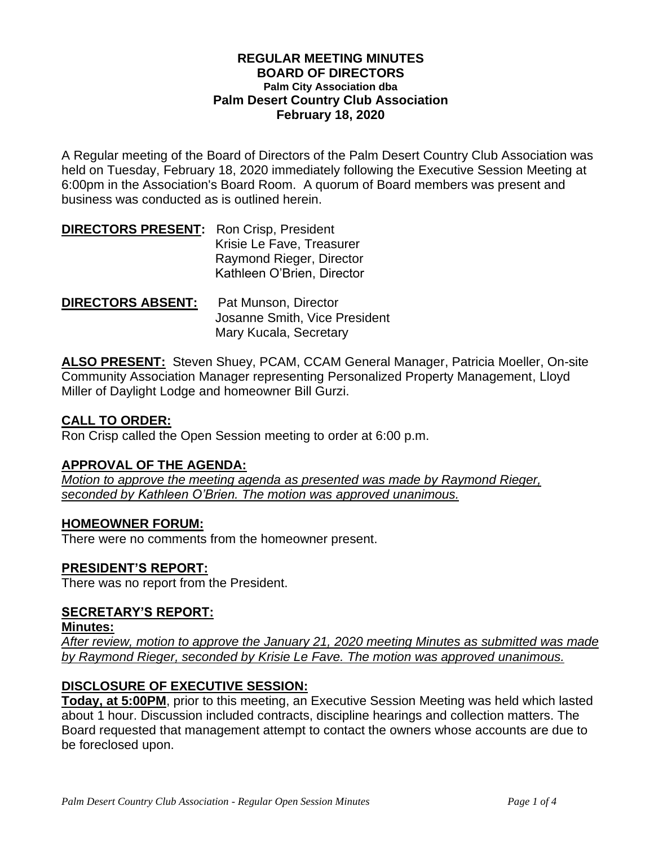#### **REGULAR MEETING MINUTES BOARD OF DIRECTORS Palm City Association dba Palm Desert Country Club Association February 18, 2020**

A Regular meeting of the Board of Directors of the Palm Desert Country Club Association was held on Tuesday, February 18, 2020 immediately following the Executive Session Meeting at 6:00pm in the Association's Board Room. A quorum of Board members was present and business was conducted as is outlined herein.

| <b>DIRECTORS PRESENT:</b> Ron Crisp, President |                            |
|------------------------------------------------|----------------------------|
|                                                | Krisie Le Fave, Treasurer  |
|                                                | Raymond Rieger, Director   |
|                                                | Kathleen O'Brien, Director |
|                                                |                            |

**DIRECTORS ABSENT:** Pat Munson, Director Josanne Smith, Vice President Mary Kucala, Secretary

**ALSO PRESENT:** Steven Shuey, PCAM, CCAM General Manager, Patricia Moeller, On-site Community Association Manager representing Personalized Property Management, Lloyd Miller of Daylight Lodge and homeowner Bill Gurzi.

## **CALL TO ORDER:**

Ron Crisp called the Open Session meeting to order at 6:00 p.m.

### **APPROVAL OF THE AGENDA:**

*Motion to approve the meeting agenda as presented was made by Raymond Rieger, seconded by Kathleen O'Brien. The motion was approved unanimous.*

### **HOMEOWNER FORUM:**

There were no comments from the homeowner present.

# **PRESIDENT'S REPORT:**

There was no report from the President.

### **SECRETARY'S REPORT:**

#### **Minutes:**

*After review, motion to approve the January 21, 2020 meeting Minutes as submitted was made by Raymond Rieger, seconded by Krisie Le Fave. The motion was approved unanimous.* 

# **DISCLOSURE OF EXECUTIVE SESSION:**

**Today, at 5:00PM**, prior to this meeting, an Executive Session Meeting was held which lasted about 1 hour. Discussion included contracts, discipline hearings and collection matters. The Board requested that management attempt to contact the owners whose accounts are due to be foreclosed upon.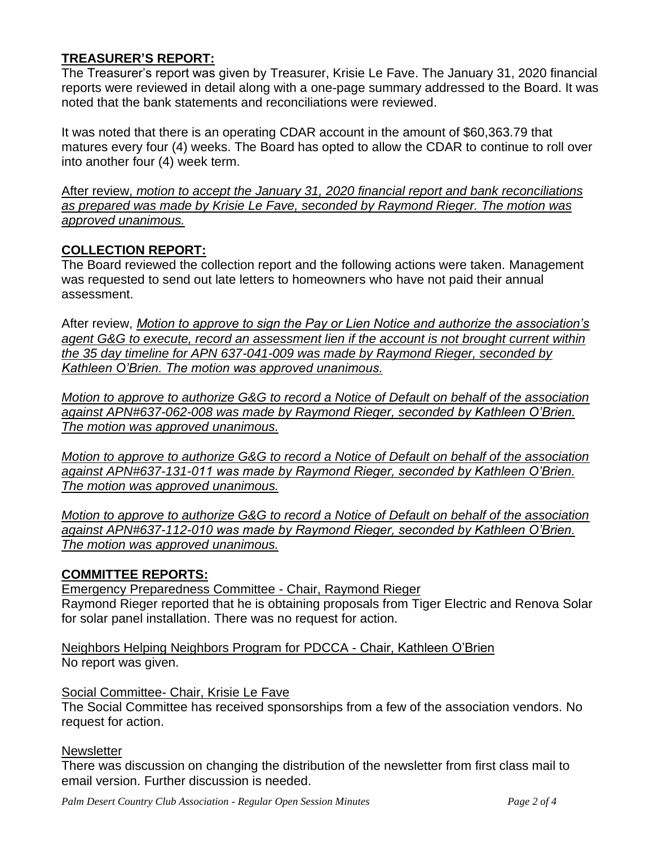# **TREASURER'S REPORT:**

The Treasurer's report was given by Treasurer, Krisie Le Fave. The January 31, 2020 financial reports were reviewed in detail along with a one-page summary addressed to the Board. It was noted that the bank statements and reconciliations were reviewed.

It was noted that there is an operating CDAR account in the amount of \$60,363.79 that matures every four (4) weeks. The Board has opted to allow the CDAR to continue to roll over into another four (4) week term.

After review, *motion to accept the January 31, 2020 financial report and bank reconciliations as prepared was made by Krisie Le Fave, seconded by Raymond Rieger. The motion was approved unanimous.* 

## **COLLECTION REPORT:**

The Board reviewed the collection report and the following actions were taken. Management was requested to send out late letters to homeowners who have not paid their annual assessment.

After review, *Motion to approve to sign the Pay or Lien Notice and authorize the association's agent G&G to execute, record an assessment lien if the account is not brought current within the 35 day timeline for APN 637-041-009 was made by Raymond Rieger, seconded by Kathleen O'Brien. The motion was approved unanimous.*

*Motion to approve to authorize G&G to record a Notice of Default on behalf of the association against APN#637-062-008 was made by Raymond Rieger, seconded by Kathleen O'Brien. The motion was approved unanimous.*

*Motion to approve to authorize G&G to record a Notice of Default on behalf of the association against APN#637-131-011 was made by Raymond Rieger, seconded by Kathleen O'Brien. The motion was approved unanimous.*

*Motion to approve to authorize G&G to record a Notice of Default on behalf of the association against APN#637-112-010 was made by Raymond Rieger, seconded by Kathleen O'Brien. The motion was approved unanimous.*

### **COMMITTEE REPORTS:**

Emergency Preparedness Committee - Chair, Raymond Rieger Raymond Rieger reported that he is obtaining proposals from Tiger Electric and Renova Solar for solar panel installation. There was no request for action.

Neighbors Helping Neighbors Program for PDCCA - Chair, Kathleen O'Brien No report was given.

#### Social Committee- Chair, Krisie Le Fave

The Social Committee has received sponsorships from a few of the association vendors. No request for action.

#### **Newsletter**

There was discussion on changing the distribution of the newsletter from first class mail to email version. Further discussion is needed.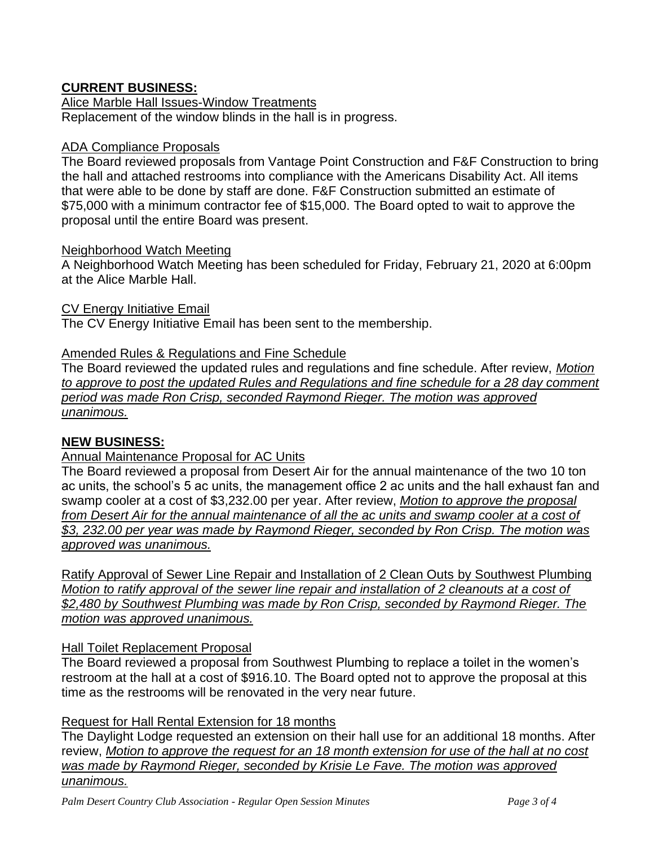# **CURRENT BUSINESS:**

Alice Marble Hall Issues-Window Treatments Replacement of the window blinds in the hall is in progress.

### ADA Compliance Proposals

The Board reviewed proposals from Vantage Point Construction and F&F Construction to bring the hall and attached restrooms into compliance with the Americans Disability Act. All items that were able to be done by staff are done. F&F Construction submitted an estimate of \$75,000 with a minimum contractor fee of \$15,000. The Board opted to wait to approve the proposal until the entire Board was present.

### Neighborhood Watch Meeting

A Neighborhood Watch Meeting has been scheduled for Friday, February 21, 2020 at 6:00pm at the Alice Marble Hall.

#### CV Energy Initiative Email

The CV Energy Initiative Email has been sent to the membership.

### Amended Rules & Regulations and Fine Schedule

The Board reviewed the updated rules and regulations and fine schedule. After review, *Motion to approve to post the updated Rules and Regulations and fine schedule for a 28 day comment period was made Ron Crisp, seconded Raymond Rieger. The motion was approved unanimous.*

### **NEW BUSINESS:**

## Annual Maintenance Proposal for AC Units

The Board reviewed a proposal from Desert Air for the annual maintenance of the two 10 ton ac units, the school's 5 ac units, the management office 2 ac units and the hall exhaust fan and swamp cooler at a cost of \$3,232.00 per year. After review, *Motion to approve the proposal*  from Desert Air for the annual maintenance of all the ac units and swamp cooler at a cost of *\$3, 232.00 per year was made by Raymond Rieger, seconded by Ron Crisp. The motion was approved was unanimous.*

Ratify Approval of Sewer Line Repair and Installation of 2 Clean Outs by Southwest Plumbing *Motion to ratify approval of the sewer line repair and installation of 2 cleanouts at a cost of \$2,480 by Southwest Plumbing was made by Ron Crisp, seconded by Raymond Rieger. The motion was approved unanimous.*

### Hall Toilet Replacement Proposal

The Board reviewed a proposal from Southwest Plumbing to replace a toilet in the women's restroom at the hall at a cost of \$916.10. The Board opted not to approve the proposal at this time as the restrooms will be renovated in the very near future.

### Request for Hall Rental Extension for 18 months

The Daylight Lodge requested an extension on their hall use for an additional 18 months. After review, *Motion to approve the request for an 18 month extension for use of the hall at no cost was made by Raymond Rieger, seconded by Krisie Le Fave. The motion was approved unanimous.*